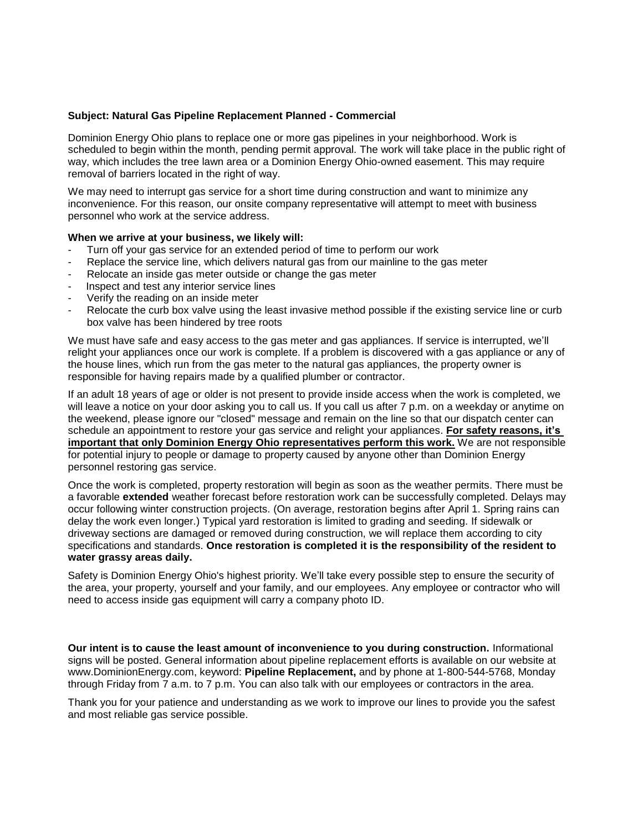### **Subject: Natural Gas Pipeline Replacement Planned - Commercial**

Dominion Energy Ohio plans to replace one or more gas pipelines in your neighborhood. Work is scheduled to begin within the month, pending permit approval. The work will take place in the public right of way, which includes the tree lawn area or a Dominion Energy Ohio-owned easement. This may require removal of barriers located in the right of way.

We may need to interrupt gas service for a short time during construction and want to minimize any inconvenience. For this reason, our onsite company representative will attempt to meet with business personnel who work at the service address.

### **When we arrive at your business, we likely will:**

- Turn off your gas service for an extended period of time to perform our work
- Replace the service line, which delivers natural gas from our mainline to the gas meter
- Relocate an inside gas meter outside or change the gas meter
- Inspect and test any interior service lines
- Verify the reading on an inside meter
- Relocate the curb box valve using the least invasive method possible if the existing service line or curb box valve has been hindered by tree roots

We must have safe and easy access to the gas meter and gas appliances. If service is interrupted, we'll relight your appliances once our work is complete. If a problem is discovered with a gas appliance or any of the house lines, which run from the gas meter to the natural gas appliances, the property owner is responsible for having repairs made by a qualified plumber or contractor.

If an adult 18 years of age or older is not present to provide inside access when the work is completed, we will leave a notice on your door asking you to call us. If you call us after 7 p.m. on a weekday or anytime on the weekend, please ignore our "closed" message and remain on the line so that our dispatch center can schedule an appointment to restore your gas service and relight your appliances. **For safety reasons, it's important that only Dominion Energy Ohio representatives perform this work.** We are not responsible for potential injury to people or damage to property caused by anyone other than Dominion Energy personnel restoring gas service.

Once the work is completed, property restoration will begin as soon as the weather permits. There must be a favorable **extended** weather forecast before restoration work can be successfully completed. Delays may occur following winter construction projects. (On average, restoration begins after April 1. Spring rains can delay the work even longer.) Typical yard restoration is limited to grading and seeding. If sidewalk or driveway sections are damaged or removed during construction, we will replace them according to city specifications and standards. **Once restoration is completed it is the responsibility of the resident to water grassy areas daily.** 

Safety is Dominion Energy Ohio's highest priority. We'll take every possible step to ensure the security of the area, your property, yourself and your family, and our employees. Any employee or contractor who will need to access inside gas equipment will carry a company photo ID.

**Our intent is to cause the least amount of inconvenience to you during construction.** Informational signs will be posted. General information about pipeline replacement efforts is available on our website at www.DominionEnergy.com, keyword: **Pipeline Replacement,** and by phone at 1-800-544-5768, Monday through Friday from 7 a.m. to 7 p.m. You can also talk with our employees or contractors in the area.

Thank you for your patience and understanding as we work to improve our lines to provide you the safest and most reliable gas service possible.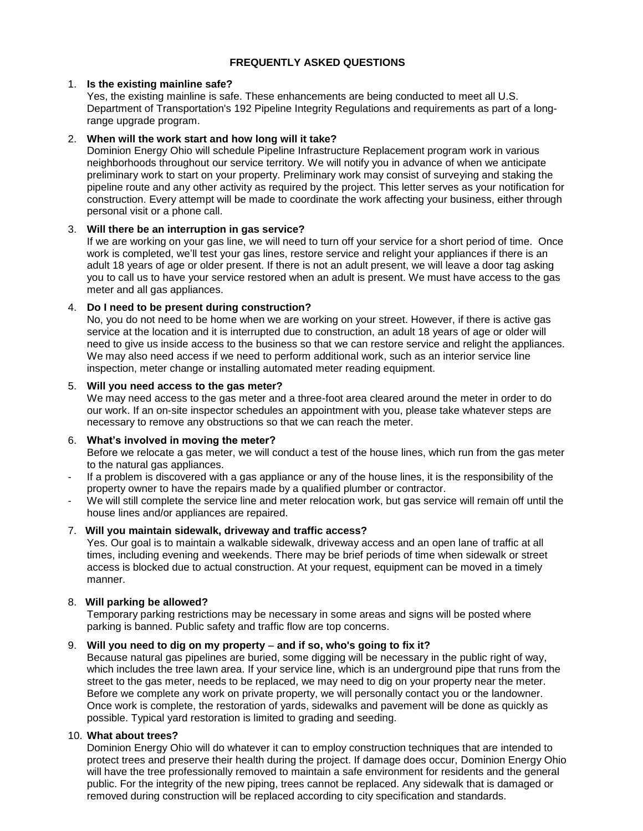# **FREQUENTLY ASKED QUESTIONS**

## 1. **Is the existing mainline safe?**

Yes, the existing mainline is safe. These enhancements are being conducted to meet all U.S. Department of Transportation's 192 Pipeline Integrity Regulations and requirements as part of a longrange upgrade program.

# 2. **When will the work start and how long will it take?**

Dominion Energy Ohio will schedule Pipeline Infrastructure Replacement program work in various neighborhoods throughout our service territory. We will notify you in advance of when we anticipate preliminary work to start on your property. Preliminary work may consist of surveying and staking the pipeline route and any other activity as required by the project. This letter serves as your notification for construction. Every attempt will be made to coordinate the work affecting your business, either through personal visit or a phone call.

# 3. **Will there be an interruption in gas service?**

If we are working on your gas line, we will need to turn off your service for a short period of time. Once work is completed, we'll test your gas lines, restore service and relight your appliances if there is an adult 18 years of age or older present. If there is not an adult present, we will leave a door tag asking you to call us to have your service restored when an adult is present. We must have access to the gas meter and all gas appliances.

# 4. **Do I need to be present during construction?**

No, you do not need to be home when we are working on your street. However, if there is active gas service at the location and it is interrupted due to construction, an adult 18 years of age or older will need to give us inside access to the business so that we can restore service and relight the appliances. We may also need access if we need to perform additional work, such as an interior service line inspection, meter change or installing automated meter reading equipment.

# 5. **Will you need access to the gas meter?**

We may need access to the gas meter and a three-foot area cleared around the meter in order to do our work. If an on-site inspector schedules an appointment with you, please take whatever steps are necessary to remove any obstructions so that we can reach the meter.

# 6. **What's involved in moving the meter?**

Before we relocate a gas meter, we will conduct a test of the house lines, which run from the gas meter to the natural gas appliances.

- If a problem is discovered with a gas appliance or any of the house lines, it is the responsibility of the property owner to have the repairs made by a qualified plumber or contractor.
- We will still complete the service line and meter relocation work, but gas service will remain off until the house lines and/or appliances are repaired.

# 7. **Will you maintain sidewalk, driveway and traffic access?**

Yes. Our goal is to maintain a walkable sidewalk, driveway access and an open lane of traffic at all times, including evening and weekends. There may be brief periods of time when sidewalk or street access is blocked due to actual construction. At your request, equipment can be moved in a timely manner.

# 8. **Will parking be allowed?**

Temporary parking restrictions may be necessary in some areas and signs will be posted where parking is banned. Public safety and traffic flow are top concerns.

# 9. **Will you need to dig on my property and if so, who's going to fix it?**

Because natural gas pipelines are buried, some digging will be necessary in the public right of way, which includes the tree lawn area. If your service line, which is an underground pipe that runs from the street to the gas meter, needs to be replaced, we may need to dig on your property near the meter. Before we complete any work on private property, we will personally contact you or the landowner. Once work is complete, the restoration of yards, sidewalks and pavement will be done as quickly as possible. Typical yard restoration is limited to grading and seeding.

### 10. **What about trees?**

Dominion Energy Ohio will do whatever it can to employ construction techniques that are intended to protect trees and preserve their health during the project. If damage does occur, Dominion Energy Ohio will have the tree professionally removed to maintain a safe environment for residents and the general public. For the integrity of the new piping, trees cannot be replaced. Any sidewalk that is damaged or removed during construction will be replaced according to city specification and standards.